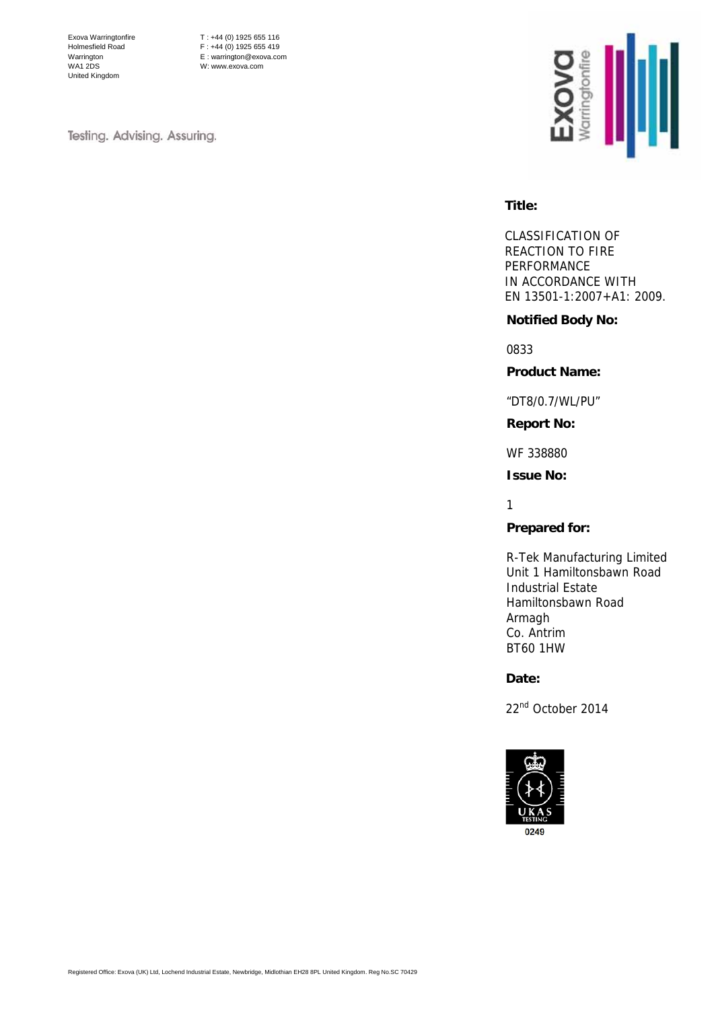Exova Warringtonfire Holmesfield Road Warrington WA1 2DS United Kingdom

T : +44 (0) 1925 655 116  $F : +44 (0) 1925 655 419$ E : warrington@exova.com W: www.exova.com

Testing. Advising. Assuring.



## **Title:**

CLASSIFICATION OF REACTION TO FIRE PERFORMANCE IN ACCORDANCE WITH EN 13501-1:2007+A1: 2009.

### **Notified Body No:**

0833

**Product Name:** 

"DT8/0.7/WL/PU"

**Report No:** 

WF 338880

**Issue No:** 

1

#### **Prepared for:**

R-Tek Manufacturing Limited Unit 1 Hamiltonsbawn Road Industrial Estate Hamiltonsbawn Road Armagh Co. Antrim BT60 1HW

 **Date:** 

22nd October 2014

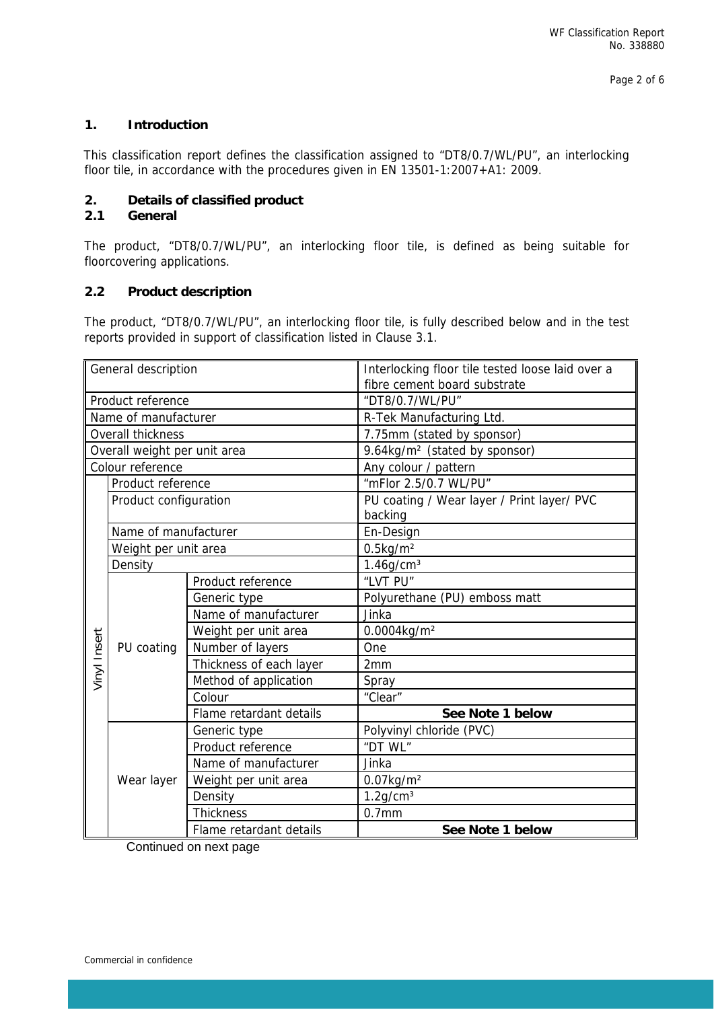## **1. Introduction**

This classification report defines the classification assigned to "DT8/0.7/WL/PU", an interlocking floor tile, in accordance with the procedures given in EN 13501-1:2007+A1: 2009.

## **2. Details of classified product**

## **2.1 General**

The product, "DT8/0.7/WL/PU", an interlocking floor tile, is defined as being suitable for floorcovering applications.

## **2.2 Product description**

The product, "DT8/0.7/WL/PU", an interlocking floor tile, is fully described below and in the test reports provided in support of classification listed in Clause 3.1.

| General description          |                          |                         | Interlocking floor tile tested loose laid over a<br>fibre cement board substrate |  |  |
|------------------------------|--------------------------|-------------------------|----------------------------------------------------------------------------------|--|--|
| Product reference            |                          |                         | "DT8/0.7/WL/PU"                                                                  |  |  |
| Name of manufacturer         |                          |                         | R-Tek Manufacturing Ltd.                                                         |  |  |
|                              | <b>Overall thickness</b> |                         | 7.75mm (stated by sponsor)                                                       |  |  |
| Overall weight per unit area |                          |                         | 9.64kg/m <sup>2</sup> (stated by sponsor)                                        |  |  |
| Colour reference             |                          |                         | Any colour / pattern                                                             |  |  |
|                              | Product reference        |                         | "mFlor 2.5/0.7 WL/PU"                                                            |  |  |
|                              | Product configuration    |                         | PU coating / Wear layer / Print layer/ PVC<br>backing                            |  |  |
|                              | Name of manufacturer     |                         | En-Design                                                                        |  |  |
|                              | Weight per unit area     |                         | $0.5$ kg/m <sup>2</sup>                                                          |  |  |
|                              | Density                  |                         | $1.46$ g/cm <sup>3</sup>                                                         |  |  |
|                              |                          | Product reference       | "LVT PU"                                                                         |  |  |
|                              |                          | Generic type            | Polyurethane (PU) emboss matt                                                    |  |  |
|                              | PU coating               | Name of manufacturer    | Jinka                                                                            |  |  |
|                              |                          | Weight per unit area    | 0.0004kg/m <sup>2</sup>                                                          |  |  |
|                              |                          | Number of layers        | One                                                                              |  |  |
| Vinyl Insert                 |                          | Thickness of each layer | 2mm                                                                              |  |  |
|                              |                          | Method of application   | Spray                                                                            |  |  |
|                              |                          | Colour                  | "Clear"                                                                          |  |  |
|                              |                          | Flame retardant details | See Note 1 below                                                                 |  |  |
|                              | Wear layer               | Generic type            | Polyvinyl chloride (PVC)                                                         |  |  |
|                              |                          | Product reference       | "DT WL"                                                                          |  |  |
|                              |                          | Name of manufacturer    | Jinka                                                                            |  |  |
|                              |                          | Weight per unit area    | $0.07$ kg/m <sup>2</sup>                                                         |  |  |
|                              |                          | Density                 | $1.2$ g/cm $3$                                                                   |  |  |
|                              |                          | <b>Thickness</b>        | 0.7 <sub>mm</sub>                                                                |  |  |
|                              |                          | Flame retardant details | See Note 1 below                                                                 |  |  |

Continued on next page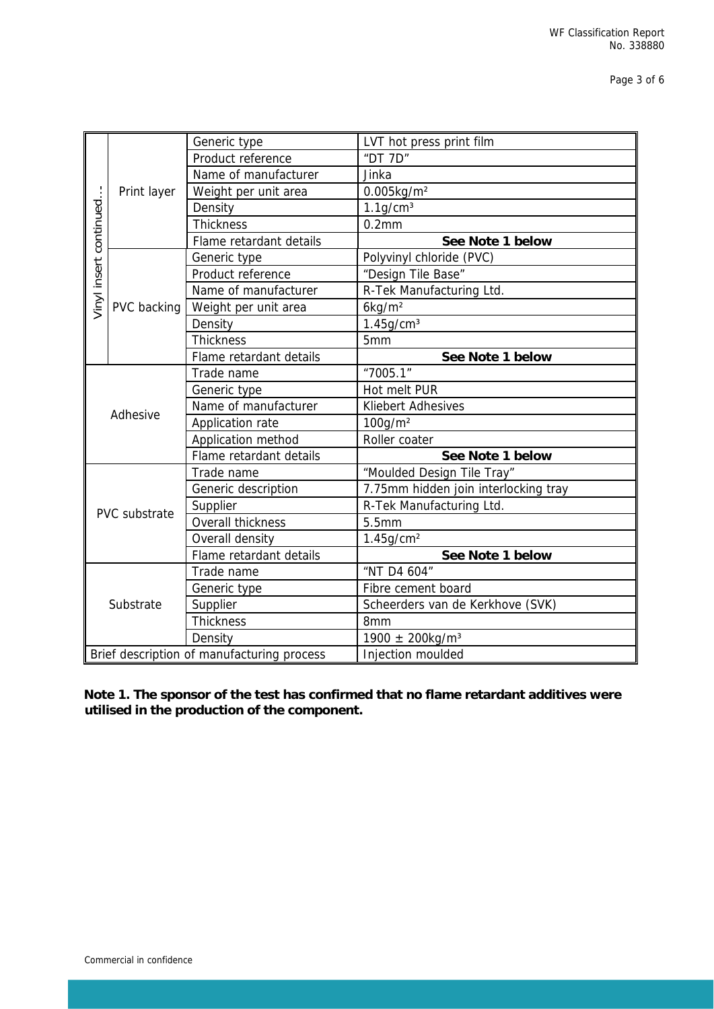|                          |               | Generic type                                 | LVT hot press print film                                                             |  |
|--------------------------|---------------|----------------------------------------------|--------------------------------------------------------------------------------------|--|
| Vinyl insert continued   |               | Product reference                            | "DT 7D"                                                                              |  |
|                          |               | Name of manufacturer                         | Jinka                                                                                |  |
|                          | Print layer   | Weight per unit area                         | $0.005$ kg/m <sup>2</sup>                                                            |  |
|                          |               | Density                                      | $1.1$ g/cm $3$                                                                       |  |
|                          |               | Thickness                                    | 0.2mm                                                                                |  |
|                          |               | Flame retardant details                      | See Note 1 below                                                                     |  |
|                          |               | Generic type                                 | Polyvinyl chloride (PVC)                                                             |  |
|                          | PVC backing   | Product reference                            | "Design Tile Base"                                                                   |  |
|                          |               | Name of manufacturer                         | R-Tek Manufacturing Ltd.                                                             |  |
|                          |               | Weight per unit area                         | 6kg/m <sup>2</sup>                                                                   |  |
|                          |               | Density                                      | $1.45$ g/cm $3$                                                                      |  |
|                          |               | Thickness                                    | 5mm                                                                                  |  |
|                          |               | Flame retardant details                      | See Note 1 below                                                                     |  |
|                          |               | Trade name                                   | "7005.1"                                                                             |  |
|                          |               | Generic type                                 | Hot melt PUR                                                                         |  |
|                          |               | Name of manufacturer                         |                                                                                      |  |
|                          | Adhesive      |                                              | Kliebert Adhesives                                                                   |  |
|                          |               | Application rate<br>Application method       | $100$ g/m <sup>2</sup><br>Roller coater                                              |  |
|                          |               | Flame retardant details                      | See Note 1 below                                                                     |  |
|                          |               |                                              |                                                                                      |  |
|                          |               | Trade name                                   | "Moulded Design Tile Tray"                                                           |  |
|                          |               | Generic description                          | 7.75mm hidden join interlocking tray                                                 |  |
|                          | PVC substrate | Supplier                                     | R-Tek Manufacturing Ltd.                                                             |  |
|                          |               | Overall thickness                            | 5.5mm                                                                                |  |
|                          |               | Overall density                              | $1.45$ g/cm <sup>2</sup>                                                             |  |
|                          |               | Flame retardant details                      | See Note 1 below                                                                     |  |
|                          |               | Trade name                                   | "NT D4 604"                                                                          |  |
|                          |               | Generic type                                 | Fibre cement board                                                                   |  |
|                          | Substrate     | Supplier                                     | Scheerders van de Kerkhove (SVK)                                                     |  |
|                          |               | <b>Thickness</b>                             | 8 <sub>mm</sub>                                                                      |  |
|                          |               | Density                                      | 1900 ± 200kg/m <sup>3</sup>                                                          |  |
|                          |               | Brief description of manufacturing process   | Injection moulded                                                                    |  |
|                          |               | utilised in the production of the component. | Note 1. The sponsor of the test has confirmed that no flame retardant additives were |  |
| Commercial in confidence |               |                                              |                                                                                      |  |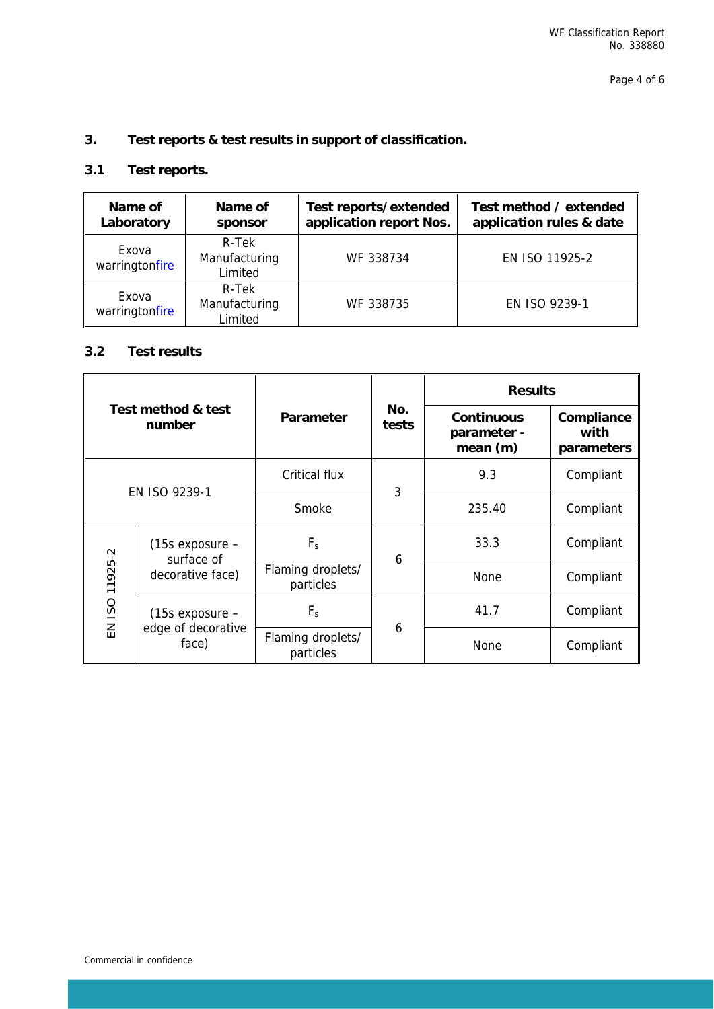# **3. Test reports & test results in support of classification.**

# **3.1 Test reports.**

| Name of<br>Laboratory   | Name of<br>sponsor                | Test reports/extended<br>application report Nos. | Test method / extended<br>application rules & date |
|-------------------------|-----------------------------------|--------------------------------------------------|----------------------------------------------------|
| Exova<br>warringtonfire | R-Tek<br>Manufacturing<br>Limited | WF 338734                                        | EN ISO 11925-2                                     |
| Exova<br>warringtonfire | R-Tek<br>Manufacturing<br>Limited | WF 338735                                        | EN ISO 9239-1                                      |

# **3.2 Test results**

| Test method & test<br>number |                                                    | Parameter                      | No.<br>tests | <b>Results</b>                              |                                  |
|------------------------------|----------------------------------------------------|--------------------------------|--------------|---------------------------------------------|----------------------------------|
|                              |                                                    |                                |              | <b>Continuous</b><br>parameter -<br>mean(m) | Compliance<br>with<br>parameters |
| EN ISO 9239-1                |                                                    | <b>Critical flux</b>           |              | 9.3                                         | Compliant                        |
|                              |                                                    | Smoke                          | 3            | 235.40                                      | Compliant                        |
|                              | $(15s$ exposure $-$                                | $F_{s}$                        | 6            | 33.3                                        | Compliant                        |
|                              | surface of<br>decorative face)                     | Flaming droplets/<br>particles |              | None                                        | Compliant                        |
| EN ISO 11925-2               | $(15s$ exposure $-$<br>edge of decorative<br>face) | $F_s$                          | 6            | 41.7                                        | Compliant                        |
|                              |                                                    | Flaming droplets/<br>particles |              | None                                        | Compliant                        |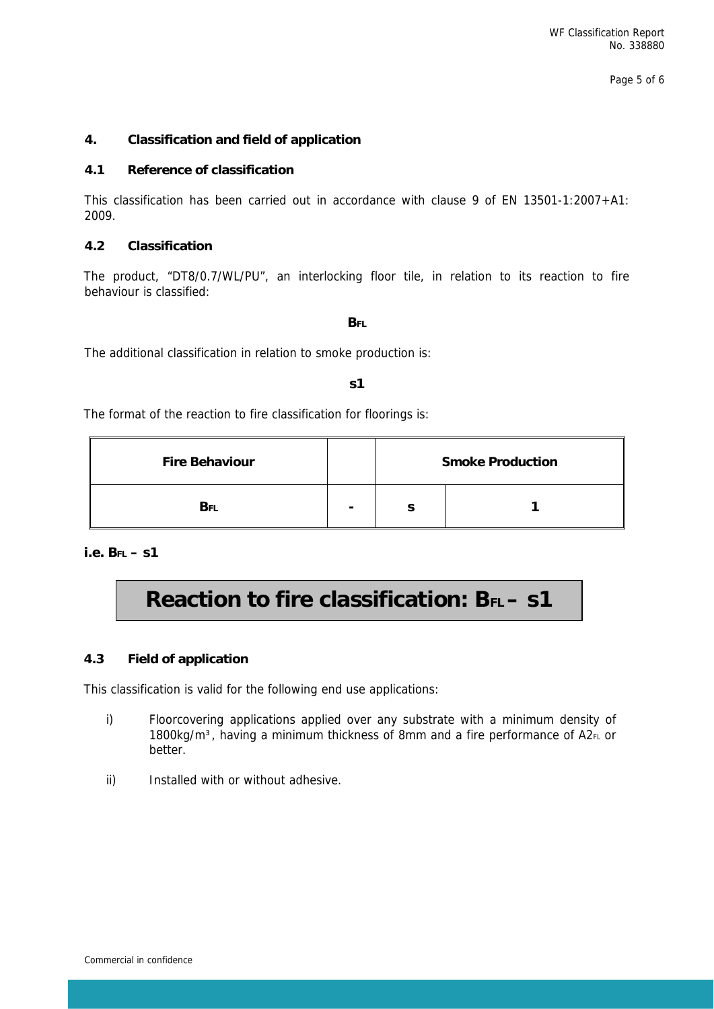Page 5 of 6

# **4. Classification and field of application**

### **4.1 Reference of classification**

This classification has been carried out in accordance with clause 9 of EN 13501-1:2007+A1: 2009.

### **4.2 Classification**

The product, "DT8/0.7/WL/PU", an interlocking floor tile, in relation to its reaction to fire behaviour is classified:

**BFL**

The additional classification in relation to smoke production is:

**s1** 

The format of the reaction to fire classification for floorings is:

| <b>Fire Behaviour</b> |                          | <b>Smoke Production</b> |  |  |
|-----------------------|--------------------------|-------------------------|--|--|
| $B_{FL}$              | $\overline{\phantom{0}}$ |                         |  |  |

# **i.e. BFL – s1**

# **Reaction to fire classification: BFL - S1**

## **4.3 Field of application**

This classification is valid for the following end use applications:

- i) Floorcovering applications applied over any substrate with a minimum density of 1800kg/m<sup>3</sup>, having a minimum thickness of 8mm and a fire performance of  $A2_{FL}$  or better.
- ii) Installed with or without adhesive.